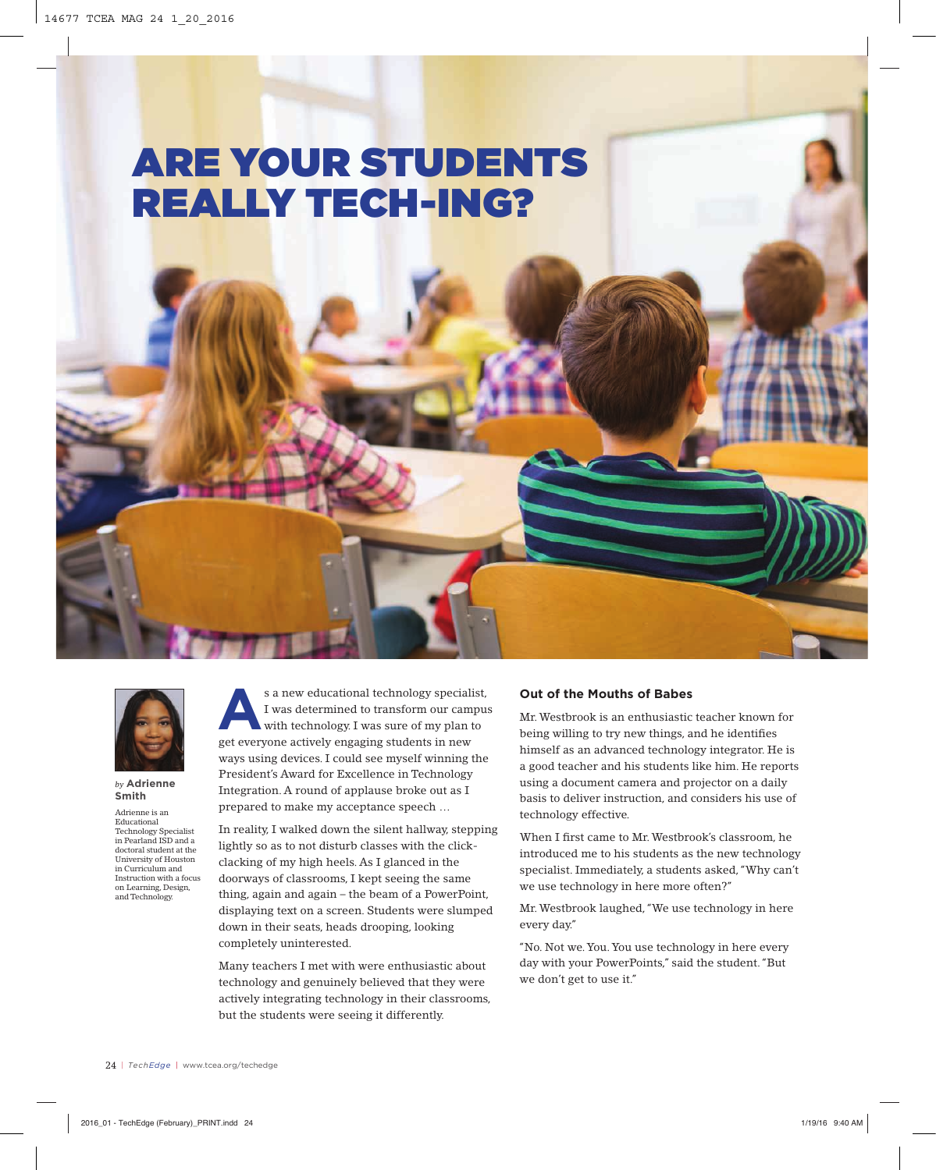# ARE YOUR STUDENTS REALLY TECH-ING?



### *by* **Adrienne Smith**

Adrienne is an Educational Technology Specialist in Pearland ISD and a doctoral student at the University of Houston in Curriculum and Instruction with a focus on Learning, Design, and Technology.

s a new educational technology specialist,<br>I was determined to transform our campus<br>with technology. I was sure of my plan to I was determined to transform our campus with technology. I was sure of my plan to get everyone actively engaging students in new ways using devices. I could see myself winning the President's Award for Excellence in Technology Integration. A round of applause broke out as I prepared to make my acceptance speech …

In reality, I walked down the silent hallway, stepping lightly so as to not disturb classes with the clickclacking of my high heels. As I glanced in the doorways of classrooms, I kept seeing the same thing, again and again – the beam of a PowerPoint, displaying text on a screen. Students were slumped down in their seats, heads drooping, looking completely uninterested.

Many teachers I met with were enthusiastic about technology and genuinely believed that they were actively integrating technology in their classrooms, but the students were seeing it differently.

# **Out of the Mouths of Babes**

Mr. Westbrook is an enthusiastic teacher known for being willing to try new things, and he identifies himself as an advanced technology integrator. He is a good teacher and his students like him. He reports using a document camera and projector on a daily basis to deliver instruction, and considers his use of technology effective.

When I first came to Mr. Westbrook's classroom, he introduced me to his students as the new technology specialist. Immediately, a students asked, "Why can't we use technology in here more often?"

Mr. Westbrook laughed, "We use technology in here every day."

"No. Not we. You. You use technology in here every day with your PowerPoints," said the student. "But we don't get to use it."